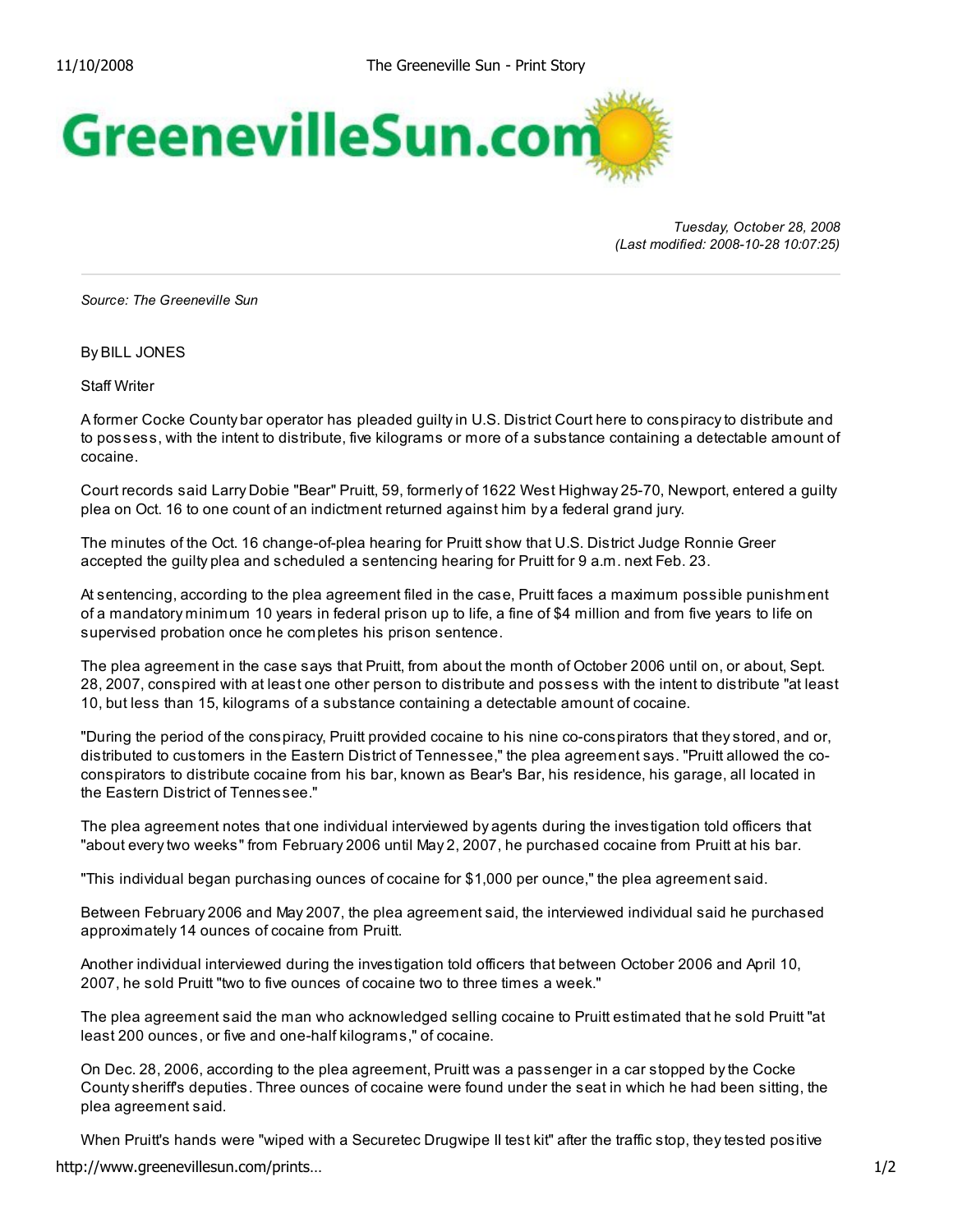

*Tuesday, October 28, 2008 (Last modified: 2008-10-28 10:07:25)*

*Source: The Greeneville Sun*

By BILL JONES

Staff Writer

A former Cocke County bar operator has pleaded guilty in U.S. District Court here to conspiracy to distribute and to possess, with the intent to distribute, five kilograms or more of a substance containing a detectable amount of cocaine.

Court records said Larry Dobie "Bear" Pruitt, 59, formerly of 1622 West Highway 25-70, Newport, entered a guilty plea on Oct. 16 to one count of an indictment returned against him by a federal grand jury.

The minutes of the Oct. 16 change-of-plea hearing for Pruitt show that U.S. District Judge Ronnie Greer accepted the guilty plea and scheduled a sentencing hearing for Pruitt for 9 a.m. next Feb. 23.

At sentencing, according to the plea agreement filed in the case, Pruitt faces a maximum possible punishment of a mandatory minimum 10 years in federal prison up to life, a fine of \$4 million and from five years to life on supervised probation once he completes his prison sentence.

The plea agreement in the case says that Pruitt, from about the month of October 2006 until on, or about, Sept. 28, 2007, conspired with at least one other person to distribute and possess with the intent to distribute "at least 10, but less than 15, kilograms of a substance containing a detectable amount of cocaine.

"During the period of the conspiracy, Pruitt provided cocaine to his nine co-conspirators that they stored, and or, distributed to customers in the Eastern District of Tennessee," the plea agreement says. "Pruitt allowed the coconspirators to distribute cocaine from his bar, known as Bear's Bar, his residence, his garage, all located in the Eastern District of Tennessee."

The plea agreement notes that one individual interviewed by agents during the investigation told officers that "about every two weeks" from February 2006 until May 2, 2007, he purchased cocaine from Pruitt at his bar.

"This individual began purchasing ounces of cocaine for \$1,000 per ounce," the plea agreement said.

Between February 2006 and May 2007, the plea agreement said, the interviewed individual said he purchased approximately 14 ounces of cocaine from Pruitt.

Another individual interviewed during the investigation told officers that between October 2006 and April 10, 2007, he sold Pruitt "two to five ounces of cocaine two to three times a week."

The plea agreement said the man who acknowledged selling cocaine to Pruitt estimated that he sold Pruitt "at least 200 ounces, or five and one-half kilograms," of cocaine.

On Dec. 28, 2006, according to the plea agreement, Pruitt was a passenger in a car stopped by the Cocke County sheriff's deputies. Three ounces of cocaine were found under the seat in which he had been sitting, the plea agreement said.

When Pruitt's hands were "wiped with a Securetec Drugwipe II test kit" after the traffic stop, they tested positive http://www.greenevillesun.com/prints… 1/2